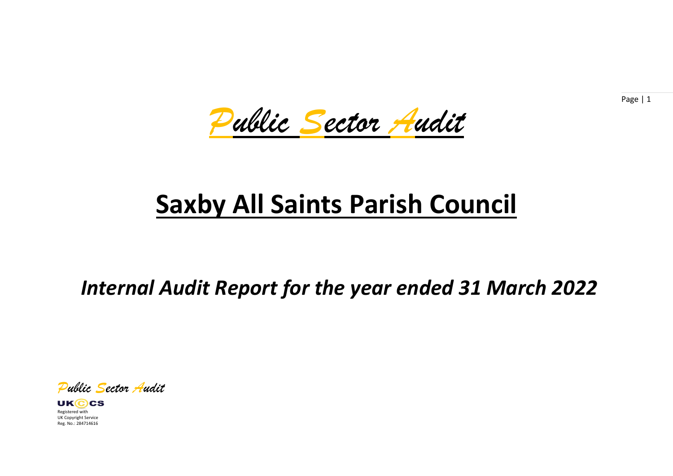*Public Sector Audit*

# **Saxby All Saints Parish Council**

*Internal Audit Report for the year ended 31 March 2022*

*Public Sector Audit*

**UKCCS** Registered with UK Copyright Service Reg. No.: 284714616

Page | 1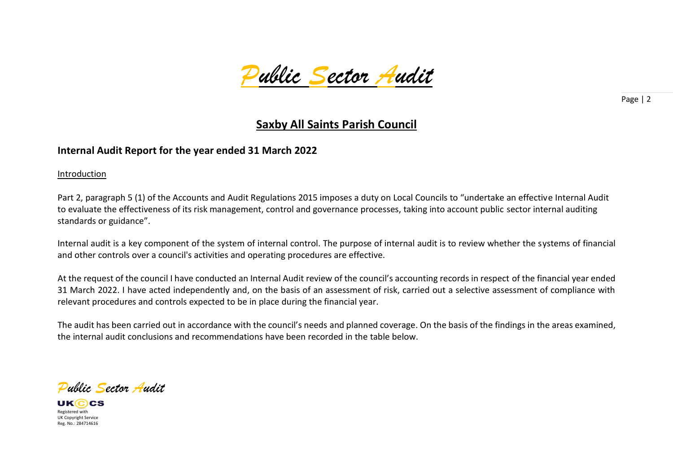

## **Saxby All Saints Parish Council**

### **Internal Audit Report for the year ended 31 March 2022**

Introduction

Part 2, paragraph 5 (1) of the Accounts and Audit Regulations 2015 imposes a duty on Local Councils to "undertake an effective Internal Audit to evaluate the effectiveness of its risk management, control and governance processes, taking into account public sector internal auditing standards or guidance".

Internal audit is a key component of the system of internal control. The purpose of internal audit is to review whether the systems of financial and other controls over a council's activities and operating procedures are effective.

At the request of the council I have conducted an Internal Audit review of the council's accounting records in respect of the financial year ended 31 March 2022. I have acted independently and, on the basis of an assessment of risk, carried out a selective assessment of compliance with relevant procedures and controls expected to be in place during the financial year.

The audit has been carried out in accordance with the council's needs and planned coverage. On the basis of the findings in the areas examined, the internal audit conclusions and recommendations have been recorded in the table below.

*Public Sector Audit*

UKCCS Registered with UK Copyright Service Reg. No.: 284714616

Page | 2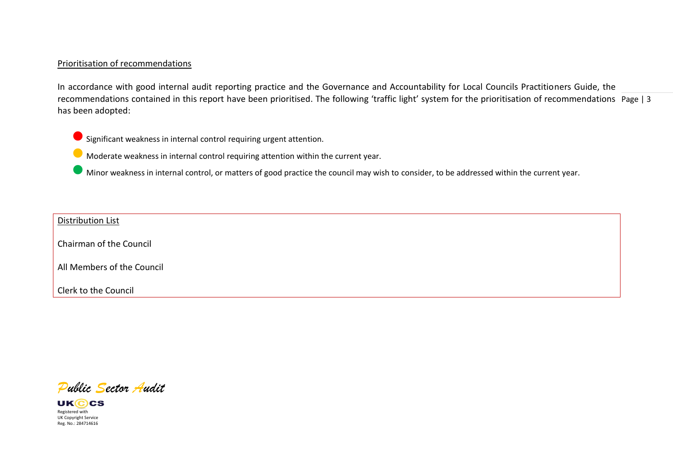#### Prioritisation of recommendations

recommendations contained in this report have been prioritised. The following 'traffic light' system for the prioritisation of recommendations Page | 3 In accordance with good internal audit reporting practice and the Governance and Accountability for Local Councils Practitioners Guide, the has been adopted:



 $\bullet$  Significant weakness in internal control requiring urgent attention.

⚫ Moderate weakness in internal control requiring attention within the current year.

⚫ Minor weakness in internal control, or matters of good practice the council may wish to consider, to be addressed within the current year.

#### Distribution List

Chairman of the Council

All Members of the Council

Clerk to the Council

*Public Sector Audit*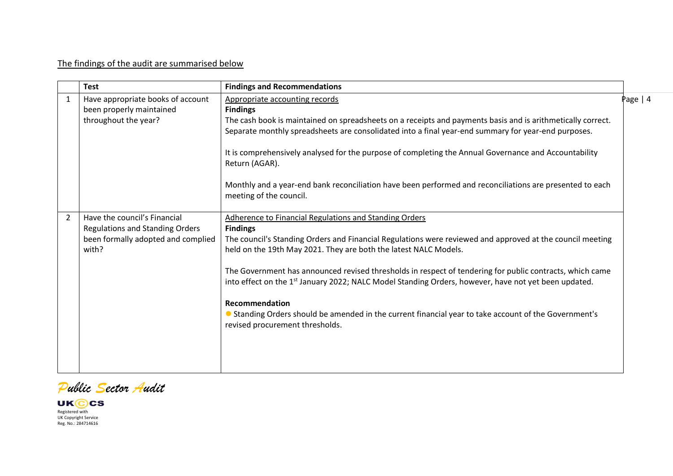## The findings of the audit are summarised below

|   | <b>Test</b>                                                                                                           | <b>Findings and Recommendations</b>                                                                                                                                                                                                                                                                                                                                                                                                                                                                                                                                                                                                                             |          |
|---|-----------------------------------------------------------------------------------------------------------------------|-----------------------------------------------------------------------------------------------------------------------------------------------------------------------------------------------------------------------------------------------------------------------------------------------------------------------------------------------------------------------------------------------------------------------------------------------------------------------------------------------------------------------------------------------------------------------------------------------------------------------------------------------------------------|----------|
| 1 | Have appropriate books of account<br>been properly maintained<br>throughout the year?                                 | Appropriate accounting records<br><b>Findings</b><br>The cash book is maintained on spreadsheets on a receipts and payments basis and is arithmetically correct.<br>Separate monthly spreadsheets are consolidated into a final year-end summary for year-end purposes.<br>It is comprehensively analysed for the purpose of completing the Annual Governance and Accountability<br>Return (AGAR).<br>Monthly and a year-end bank reconciliation have been performed and reconciliations are presented to each<br>meeting of the council.                                                                                                                       | Page   4 |
| 2 | Have the council's Financial<br><b>Regulations and Standing Orders</b><br>been formally adopted and complied<br>with? | Adherence to Financial Regulations and Standing Orders<br><b>Findings</b><br>The council's Standing Orders and Financial Regulations were reviewed and approved at the council meeting<br>held on the 19th May 2021. They are both the latest NALC Models.<br>The Government has announced revised thresholds in respect of tendering for public contracts, which came<br>into effect on the 1 <sup>st</sup> January 2022; NALC Model Standing Orders, however, have not yet been updated.<br><b>Recommendation</b><br>• Standing Orders should be amended in the current financial year to take account of the Government's<br>revised procurement thresholds. |          |

*Public Sector Audit*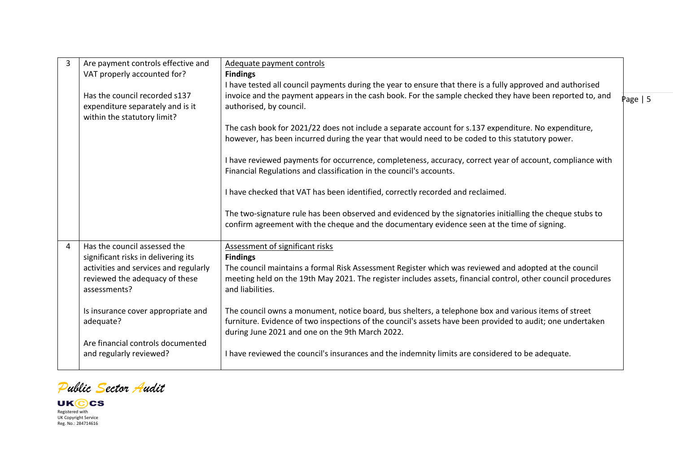| 3 | Are payment controls effective and                                                                                             | Adequate payment controls                                                                                                                                                                                                                                             |            |
|---|--------------------------------------------------------------------------------------------------------------------------------|-----------------------------------------------------------------------------------------------------------------------------------------------------------------------------------------------------------------------------------------------------------------------|------------|
|   | VAT properly accounted for?                                                                                                    | <b>Findings</b>                                                                                                                                                                                                                                                       |            |
|   |                                                                                                                                | I have tested all council payments during the year to ensure that there is a fully approved and authorised                                                                                                                                                            |            |
|   | Has the council recorded s137<br>expenditure separately and is it<br>within the statutory limit?                               | invoice and the payment appears in the cash book. For the sample checked they have been reported to, and<br>authorised, by council.                                                                                                                                   | Page $  5$ |
|   |                                                                                                                                | The cash book for 2021/22 does not include a separate account for s.137 expenditure. No expenditure,                                                                                                                                                                  |            |
|   |                                                                                                                                | however, has been incurred during the year that would need to be coded to this statutory power.                                                                                                                                                                       |            |
|   |                                                                                                                                | I have reviewed payments for occurrence, completeness, accuracy, correct year of account, compliance with<br>Financial Regulations and classification in the council's accounts.                                                                                      |            |
|   |                                                                                                                                | I have checked that VAT has been identified, correctly recorded and reclaimed.                                                                                                                                                                                        |            |
|   |                                                                                                                                | The two-signature rule has been observed and evidenced by the signatories initialling the cheque stubs to<br>confirm agreement with the cheque and the documentary evidence seen at the time of signing.                                                              |            |
| 4 | Has the council assessed the                                                                                                   | Assessment of significant risks                                                                                                                                                                                                                                       |            |
|   | significant risks in delivering its<br>activities and services and regularly<br>reviewed the adequacy of these<br>assessments? | <b>Findings</b><br>The council maintains a formal Risk Assessment Register which was reviewed and adopted at the council<br>meeting held on the 19th May 2021. The register includes assets, financial control, other council procedures<br>and liabilities.          |            |
|   | Is insurance cover appropriate and<br>adequate?                                                                                | The council owns a monument, notice board, bus shelters, a telephone box and various items of street<br>furniture. Evidence of two inspections of the council's assets have been provided to audit; one undertaken<br>during June 2021 and one on the 9th March 2022. |            |
|   | Are financial controls documented<br>and regularly reviewed?                                                                   | I have reviewed the council's insurances and the indemnity limits are considered to be adequate.                                                                                                                                                                      |            |

*Public Sector Audit*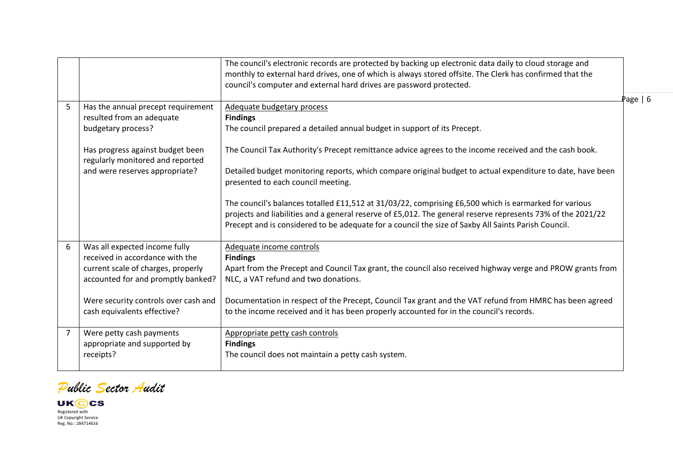|                |                                                                                                                                                                                                                     | The council's electronic records are protected by backing up electronic data daily to cloud storage and<br>monthly to external hard drives, one of which is always stored offsite. The Clerk has confirmed that the<br>council's computer and external hard drives are password protected.                                                                                                                                                                                                                                                                                                                                                                                                                             |      |
|----------------|---------------------------------------------------------------------------------------------------------------------------------------------------------------------------------------------------------------------|------------------------------------------------------------------------------------------------------------------------------------------------------------------------------------------------------------------------------------------------------------------------------------------------------------------------------------------------------------------------------------------------------------------------------------------------------------------------------------------------------------------------------------------------------------------------------------------------------------------------------------------------------------------------------------------------------------------------|------|
| 5              | Has the annual precept requirement<br>resulted from an adequate<br>budgetary process?<br>Has progress against budget been<br>regularly monitored and reported<br>and were reserves appropriate?                     | Adequate budgetary process<br><b>Findings</b><br>The council prepared a detailed annual budget in support of its Precept.<br>The Council Tax Authority's Precept remittance advice agrees to the income received and the cash book.<br>Detailed budget monitoring reports, which compare original budget to actual expenditure to date, have been<br>presented to each council meeting.<br>The council's balances totalled £11,512 at 31/03/22, comprising £6,500 which is earmarked for various<br>projects and liabilities and a general reserve of £5,012. The general reserve represents 73% of the 2021/22<br>Precept and is considered to be adequate for a council the size of Saxby All Saints Parish Council. | Page |
| 6              | Was all expected income fully<br>received in accordance with the<br>current scale of charges, properly<br>accounted for and promptly banked?<br>Were security controls over cash and<br>cash equivalents effective? | Adequate income controls<br><b>Findings</b><br>Apart from the Precept and Council Tax grant, the council also received highway verge and PROW grants from<br>NLC, a VAT refund and two donations.<br>Documentation in respect of the Precept, Council Tax grant and the VAT refund from HMRC has been agreed<br>to the income received and it has been properly accounted for in the council's records.                                                                                                                                                                                                                                                                                                                |      |
| $\overline{7}$ | Were petty cash payments<br>appropriate and supported by<br>receipts?                                                                                                                                               | Appropriate petty cash controls<br><b>Findings</b><br>The council does not maintain a petty cash system.                                                                                                                                                                                                                                                                                                                                                                                                                                                                                                                                                                                                               |      |

 $6 \overline{6}$ 

*Public Sector Audit*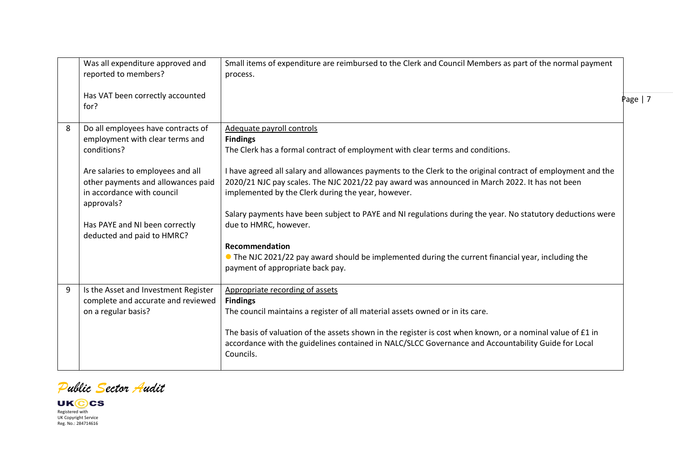|   | Was all expenditure approved and<br>reported to members?                                                            | Small items of expenditure are reimbursed to the Clerk and Council Members as part of the normal payment<br>process.                                                                                                                                                 |           |
|---|---------------------------------------------------------------------------------------------------------------------|----------------------------------------------------------------------------------------------------------------------------------------------------------------------------------------------------------------------------------------------------------------------|-----------|
|   | Has VAT been correctly accounted<br>for?                                                                            |                                                                                                                                                                                                                                                                      | Page $ 7$ |
| 8 | Do all employees have contracts of<br>employment with clear terms and<br>conditions?                                | Adequate payroll controls<br><b>Findings</b><br>The Clerk has a formal contract of employment with clear terms and conditions.                                                                                                                                       |           |
|   | Are salaries to employees and all<br>other payments and allowances paid<br>in accordance with council<br>approvals? | I have agreed all salary and allowances payments to the Clerk to the original contract of employment and the<br>2020/21 NJC pay scales. The NJC 2021/22 pay award was announced in March 2022. It has not been<br>implemented by the Clerk during the year, however. |           |
|   | Has PAYE and NI been correctly<br>deducted and paid to HMRC?                                                        | Salary payments have been subject to PAYE and NI regulations during the year. No statutory deductions were<br>due to HMRC, however.                                                                                                                                  |           |
|   |                                                                                                                     | <b>Recommendation</b><br>• The NJC 2021/22 pay award should be implemented during the current financial year, including the<br>payment of appropriate back pay.                                                                                                      |           |
| 9 | Is the Asset and Investment Register<br>complete and accurate and reviewed<br>on a regular basis?                   | Appropriate recording of assets<br><b>Findings</b><br>The council maintains a register of all material assets owned or in its care.                                                                                                                                  |           |
|   |                                                                                                                     | The basis of valuation of the assets shown in the register is cost when known, or a nominal value of £1 in<br>accordance with the guidelines contained in NALC/SLCC Governance and Accountability Guide for Local<br>Councils.                                       |           |

*Public Sector Audit*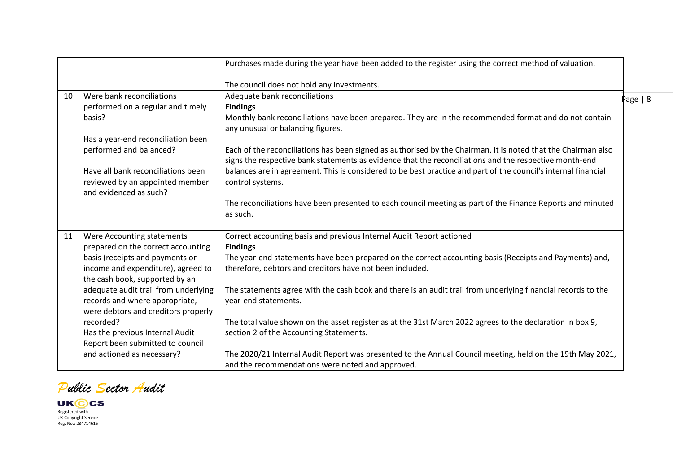|    |                                      | Purchases made during the year have been added to the register using the correct method of valuation.                                                                                                                   |          |
|----|--------------------------------------|-------------------------------------------------------------------------------------------------------------------------------------------------------------------------------------------------------------------------|----------|
|    |                                      | The council does not hold any investments.                                                                                                                                                                              |          |
|    | Were bank reconciliations            |                                                                                                                                                                                                                         |          |
| 10 |                                      | Adequate bank reconciliations                                                                                                                                                                                           | Page   8 |
|    | performed on a regular and timely    | <b>Findings</b>                                                                                                                                                                                                         |          |
|    | basis?                               | Monthly bank reconciliations have been prepared. They are in the recommended format and do not contain                                                                                                                  |          |
|    |                                      | any unusual or balancing figures.                                                                                                                                                                                       |          |
|    | Has a year-end reconciliation been   |                                                                                                                                                                                                                         |          |
|    | performed and balanced?              | Each of the reconciliations has been signed as authorised by the Chairman. It is noted that the Chairman also<br>signs the respective bank statements as evidence that the reconciliations and the respective month-end |          |
|    | Have all bank reconciliations been   | balances are in agreement. This is considered to be best practice and part of the council's internal financial                                                                                                          |          |
|    | reviewed by an appointed member      | control systems.                                                                                                                                                                                                        |          |
|    | and evidenced as such?               |                                                                                                                                                                                                                         |          |
|    |                                      | The reconciliations have been presented to each council meeting as part of the Finance Reports and minuted                                                                                                              |          |
|    |                                      | as such.                                                                                                                                                                                                                |          |
|    |                                      |                                                                                                                                                                                                                         |          |
| 11 | Were Accounting statements           | Correct accounting basis and previous Internal Audit Report actioned                                                                                                                                                    |          |
|    | prepared on the correct accounting   | <b>Findings</b>                                                                                                                                                                                                         |          |
|    | basis (receipts and payments or      | The year-end statements have been prepared on the correct accounting basis (Receipts and Payments) and,                                                                                                                 |          |
|    | income and expenditure), agreed to   | therefore, debtors and creditors have not been included.                                                                                                                                                                |          |
|    | the cash book, supported by an       |                                                                                                                                                                                                                         |          |
|    | adequate audit trail from underlying | The statements agree with the cash book and there is an audit trail from underlying financial records to the                                                                                                            |          |
|    | records and where appropriate,       | year-end statements.                                                                                                                                                                                                    |          |
|    | were debtors and creditors properly  |                                                                                                                                                                                                                         |          |
|    | recorded?                            | The total value shown on the asset register as at the 31st March 2022 agrees to the declaration in box 9,                                                                                                               |          |
|    | Has the previous Internal Audit      | section 2 of the Accounting Statements.                                                                                                                                                                                 |          |
|    | Report been submitted to council     |                                                                                                                                                                                                                         |          |
|    | and actioned as necessary?           | The 2020/21 Internal Audit Report was presented to the Annual Council meeting, held on the 19th May 2021,                                                                                                               |          |
|    |                                      | and the recommendations were noted and approved.                                                                                                                                                                        |          |

*Public Sector Audit*

**UKCC** Registered with UK Copyright Service Reg. No.: 284714616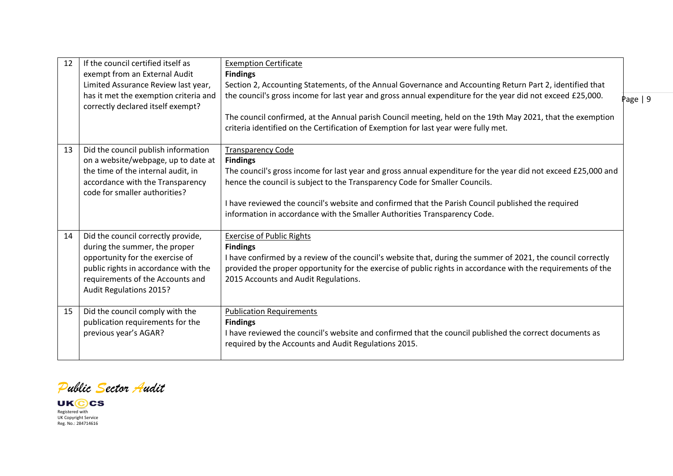| 12 | If the council certified itself as<br>exempt from an External Audit<br>Limited Assurance Review last year,<br>has it met the exemption criteria and<br>correctly declared itself exempt?                             | <b>Exemption Certificate</b><br><b>Findings</b><br>Section 2, Accounting Statements, of the Annual Governance and Accounting Return Part 2, identified that<br>the council's gross income for last year and gross annual expenditure for the year did not exceed £25,000.<br>The council confirmed, at the Annual parish Council meeting, held on the 19th May 2021, that the exemption<br>criteria identified on the Certification of Exemption for last year were fully met. | Page $ 9$ |
|----|----------------------------------------------------------------------------------------------------------------------------------------------------------------------------------------------------------------------|--------------------------------------------------------------------------------------------------------------------------------------------------------------------------------------------------------------------------------------------------------------------------------------------------------------------------------------------------------------------------------------------------------------------------------------------------------------------------------|-----------|
| 13 | Did the council publish information<br>on a website/webpage, up to date at<br>the time of the internal audit, in<br>accordance with the Transparency<br>code for smaller authorities?                                | <b>Transparency Code</b><br><b>Findings</b><br>The council's gross income for last year and gross annual expenditure for the year did not exceed £25,000 and<br>hence the council is subject to the Transparency Code for Smaller Councils.<br>I have reviewed the council's website and confirmed that the Parish Council published the required<br>information in accordance with the Smaller Authorities Transparency Code.                                                 |           |
| 14 | Did the council correctly provide,<br>during the summer, the proper<br>opportunity for the exercise of<br>public rights in accordance with the<br>requirements of the Accounts and<br><b>Audit Regulations 2015?</b> | <b>Exercise of Public Rights</b><br><b>Findings</b><br>I have confirmed by a review of the council's website that, during the summer of 2021, the council correctly<br>provided the proper opportunity for the exercise of public rights in accordance with the requirements of the<br>2015 Accounts and Audit Regulations.                                                                                                                                                    |           |
| 15 | Did the council comply with the<br>publication requirements for the<br>previous year's AGAR?                                                                                                                         | <b>Publication Requirements</b><br><b>Findings</b><br>I have reviewed the council's website and confirmed that the council published the correct documents as<br>required by the Accounts and Audit Regulations 2015.                                                                                                                                                                                                                                                          |           |

*Public Sector Audit*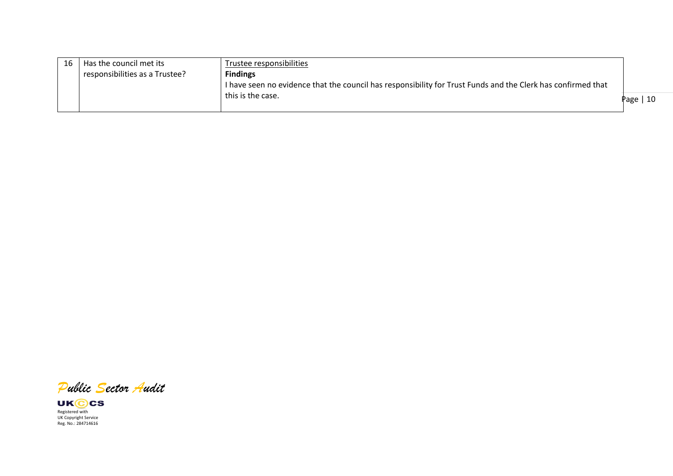| 16 | Has the council met its        | Trustee responsibilities                                                                                     |           |
|----|--------------------------------|--------------------------------------------------------------------------------------------------------------|-----------|
|    | responsibilities as a Trustee? | <b>Findings</b>                                                                                              |           |
|    |                                | I have seen no evidence that the council has responsibility for Trust Funds and the Clerk has confirmed that |           |
|    |                                | this is the case.                                                                                            | Page   10 |
|    |                                |                                                                                                              |           |

*Public Sector Audit*